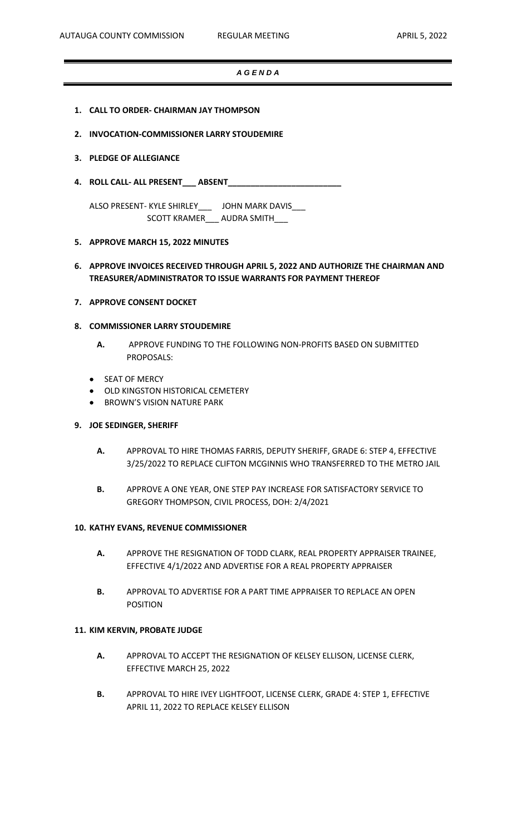### *A G E N D A*

- **1. CALL TO ORDER- CHAIRMAN JAY THOMPSON**
- **2. INVOCATION-COMMISSIONER LARRY STOUDEMIRE**

#### **3. PLEDGE OF ALLEGIANCE**

**4. ROLL CALL- ALL PRESENT\_\_\_ ABSENT\_\_\_\_\_\_\_\_\_\_\_\_\_\_\_\_\_\_\_\_\_\_\_\_\_**

ALSO PRESENT- KYLE SHIRLEY\_\_\_ JOHN MARK DAVIS\_\_\_ SCOTT KRAMER\_\_\_ AUDRA SMITH\_\_\_

#### **5. APPROVE MARCH 15, 2022 MINUTES**

# **6. APPROVE INVOICES RECEIVED THROUGH APRIL 5, 2022 AND AUTHORIZE THE CHAIRMAN AND TREASURER/ADMINISTRATOR TO ISSUE WARRANTS FOR PAYMENT THEREOF**

**7. APPROVE CONSENT DOCKET**

## **8. COMMISSIONER LARRY STOUDEMIRE**

- **A.** APPROVE FUNDING TO THE FOLLOWING NON-PROFITS BASED ON SUBMITTED PROPOSALS:
- SEAT OF MERCY
- OLD KINGSTON HISTORICAL CEMETERY
- BROWN'S VISION NATURE PARK

### **9. JOE SEDINGER, SHERIFF**

- **A.** APPROVAL TO HIRE THOMAS FARRIS, DEPUTY SHERIFF, GRADE 6: STEP 4, EFFECTIVE 3/25/2022 TO REPLACE CLIFTON MCGINNIS WHO TRANSFERRED TO THE METRO JAIL
- **B.** APPROVE A ONE YEAR, ONE STEP PAY INCREASE FOR SATISFACTORY SERVICE TO GREGORY THOMPSON, CIVIL PROCESS, DOH: 2/4/2021

#### **10. KATHY EVANS, REVENUE COMMISSIONER**

- **A.** APPROVE THE RESIGNATION OF TODD CLARK, REAL PROPERTY APPRAISER TRAINEE, EFFECTIVE 4/1/2022 AND ADVERTISE FOR A REAL PROPERTY APPRAISER
- **B.** APPROVAL TO ADVERTISE FOR A PART TIME APPRAISER TO REPLACE AN OPEN POSITION

## **11. KIM KERVIN, PROBATE JUDGE**

- **A.** APPROVAL TO ACCEPT THE RESIGNATION OF KELSEY ELLISON, LICENSE CLERK, EFFECTIVE MARCH 25, 2022
- **B.** APPROVAL TO HIRE IVEY LIGHTFOOT, LICENSE CLERK, GRADE 4: STEP 1, EFFECTIVE APRIL 11, 2022 TO REPLACE KELSEY ELLISON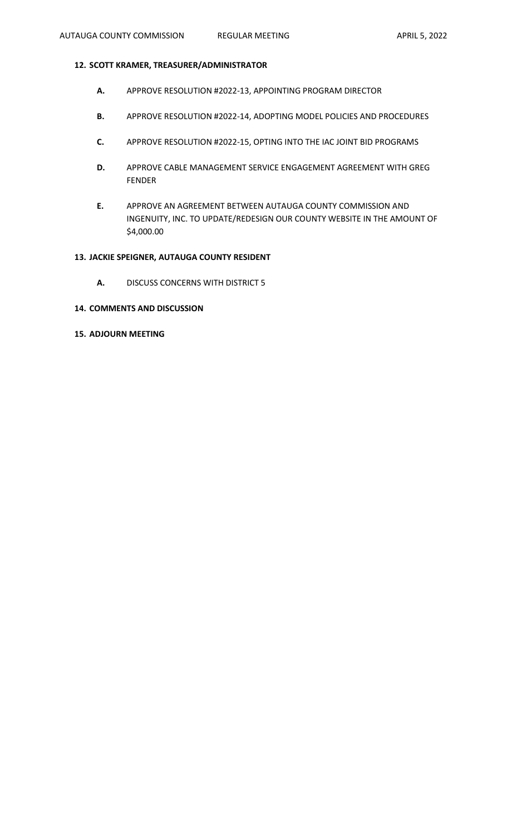## **12. SCOTT KRAMER, TREASURER/ADMINISTRATOR**

- **A.** APPROVE RESOLUTION #2022-13, APPOINTING PROGRAM DIRECTOR
- **B.** APPROVE RESOLUTION #2022-14, ADOPTING MODEL POLICIES AND PROCEDURES
- **C.** APPROVE RESOLUTION #2022-15, OPTING INTO THE IAC JOINT BID PROGRAMS
- **D.** APPROVE CABLE MANAGEMENT SERVICE ENGAGEMENT AGREEMENT WITH GREG FENDER
- **E.** APPROVE AN AGREEMENT BETWEEN AUTAUGA COUNTY COMMISSION AND INGENUITY, INC. TO UPDATE/REDESIGN OUR COUNTY WEBSITE IN THE AMOUNT OF \$4,000.00

# **13. JACKIE SPEIGNER, AUTAUGA COUNTY RESIDENT**

- **A.** DISCUSS CONCERNS WITH DISTRICT 5
- **14. COMMENTS AND DISCUSSION**

# **15. ADJOURN MEETING**